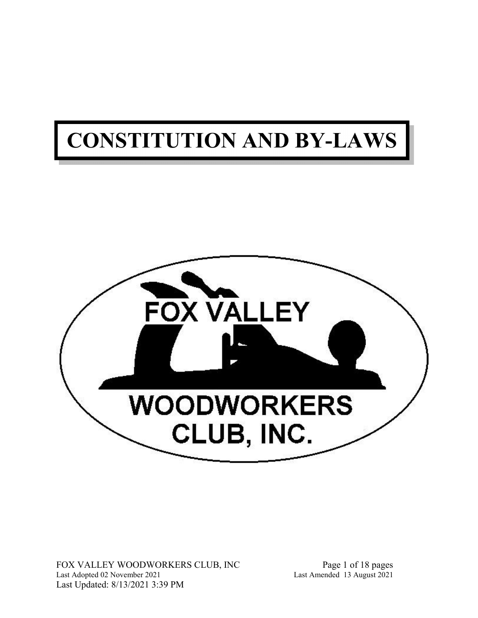# CONSTITUTION AND BY-LAWS



FOX VALLEY WOODWORKERS CLUB, INC Page 1 of 18 pages Last Adopted 02 November 2021 Last Amended 13 August 2021 Last Updated: 8/13/2021 3:39 PM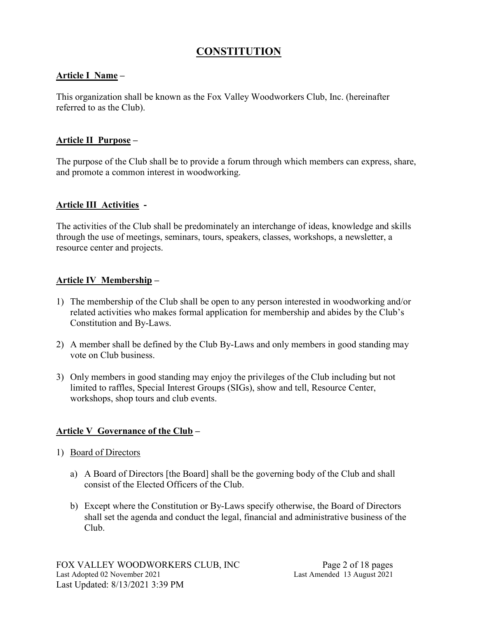# **CONSTITUTION**

#### Article I Name –

This organization shall be known as the Fox Valley Woodworkers Club, Inc. (hereinafter referred to as the Club).

#### Article II Purpose –

The purpose of the Club shall be to provide a forum through which members can express, share, and promote a common interest in woodworking.

#### Article III Activities -

The activities of the Club shall be predominately an interchange of ideas, knowledge and skills through the use of meetings, seminars, tours, speakers, classes, workshops, a newsletter, a resource center and projects.

#### Article IV Membership –

- 1) The membership of the Club shall be open to any person interested in woodworking and/or related activities who makes formal application for membership and abides by the Club's Constitution and By-Laws.
- 2) A member shall be defined by the Club By-Laws and only members in good standing may vote on Club business.
- 3) Only members in good standing may enjoy the privileges of the Club including but not limited to raffles, Special Interest Groups (SIGs), show and tell, Resource Center, workshops, shop tours and club events.

#### Article V Governance of the Club –

- 1) Board of Directors
	- a) A Board of Directors [the Board] shall be the governing body of the Club and shall consist of the Elected Officers of the Club.
	- b) Except where the Constitution or By-Laws specify otherwise, the Board of Directors shall set the agenda and conduct the legal, financial and administrative business of the Club.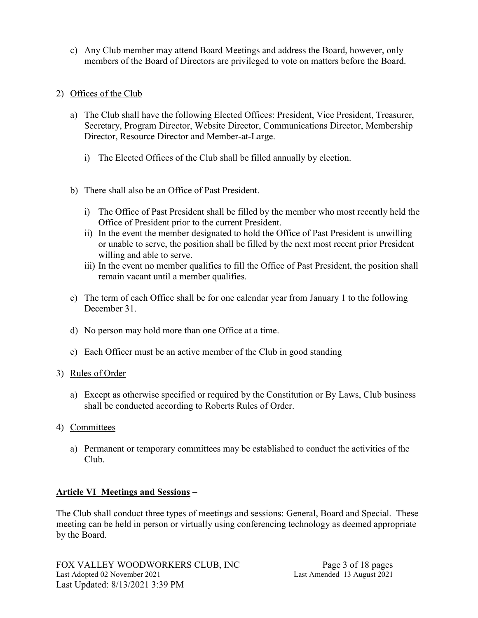- c) Any Club member may attend Board Meetings and address the Board, however, only members of the Board of Directors are privileged to vote on matters before the Board.
- 2) Offices of the Club
	- a) The Club shall have the following Elected Offices: President, Vice President, Treasurer, Secretary, Program Director, Website Director, Communications Director, Membership Director, Resource Director and Member-at-Large.
		- i) The Elected Offices of the Club shall be filled annually by election.
	- b) There shall also be an Office of Past President.
		- i) The Office of Past President shall be filled by the member who most recently held the Office of President prior to the current President.
		- ii) In the event the member designated to hold the Office of Past President is unwilling or unable to serve, the position shall be filled by the next most recent prior President willing and able to serve.
		- iii) In the event no member qualifies to fill the Office of Past President, the position shall remain vacant until a member qualifies.
	- c) The term of each Office shall be for one calendar year from January 1 to the following December 31.
	- d) No person may hold more than one Office at a time.
	- e) Each Officer must be an active member of the Club in good standing
- 3) Rules of Order
	- a) Except as otherwise specified or required by the Constitution or By Laws, Club business shall be conducted according to Roberts Rules of Order.
- 4) Committees
	- a) Permanent or temporary committees may be established to conduct the activities of the Club.

#### Article VI Meetings and Sessions –

The Club shall conduct three types of meetings and sessions: General, Board and Special. These meeting can be held in person or virtually using conferencing technology as deemed appropriate by the Board.

FOX VALLEY WOODWORKERS CLUB, INC Page 3 of 18 pages Last Adopted 02 November 2021 Last Amended 13 August 2021 Last Updated: 8/13/2021 3:39 PM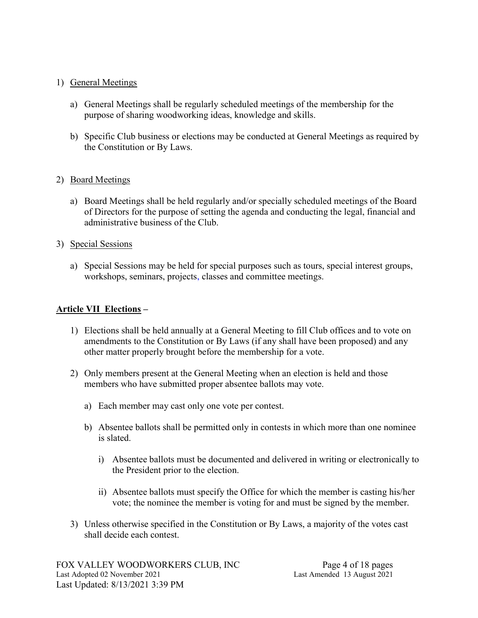#### 1) General Meetings

- a) General Meetings shall be regularly scheduled meetings of the membership for the purpose of sharing woodworking ideas, knowledge and skills.
- b) Specific Club business or elections may be conducted at General Meetings as required by the Constitution or By Laws.

# 2) Board Meetings

- a) Board Meetings shall be held regularly and/or specially scheduled meetings of the Board of Directors for the purpose of setting the agenda and conducting the legal, financial and administrative business of the Club.
- 3) Special Sessions
	- a) Special Sessions may be held for special purposes such as tours, special interest groups, workshops, seminars, projects, classes and committee meetings.

## Article VII Elections –

- 1) Elections shall be held annually at a General Meeting to fill Club offices and to vote on amendments to the Constitution or By Laws (if any shall have been proposed) and any other matter properly brought before the membership for a vote.
- 2) Only members present at the General Meeting when an election is held and those members who have submitted proper absentee ballots may vote.
	- a) Each member may cast only one vote per contest.
	- b) Absentee ballots shall be permitted only in contests in which more than one nominee is slated.
		- i) Absentee ballots must be documented and delivered in writing or electronically to the President prior to the election.
		- ii) Absentee ballots must specify the Office for which the member is casting his/her vote; the nominee the member is voting for and must be signed by the member.
- 3) Unless otherwise specified in the Constitution or By Laws, a majority of the votes cast shall decide each contest.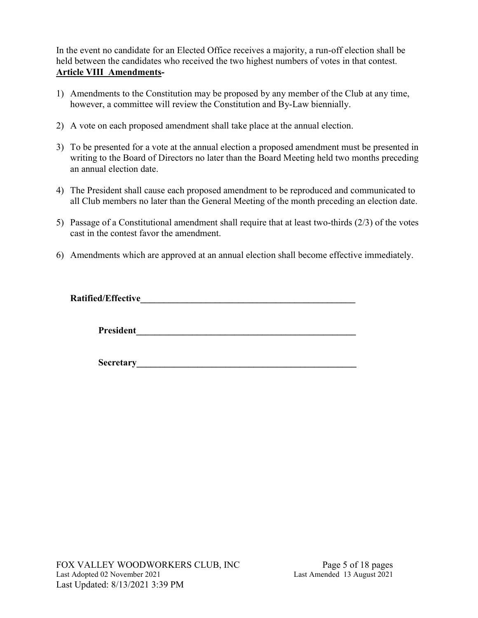In the event no candidate for an Elected Office receives a majority, a run-off election shall be held between the candidates who received the two highest numbers of votes in that contest. Article VIII Amendments-

- 1) Amendments to the Constitution may be proposed by any member of the Club at any time, however, a committee will review the Constitution and By-Law biennially.
- 2) A vote on each proposed amendment shall take place at the annual election.
- 3) To be presented for a vote at the annual election a proposed amendment must be presented in writing to the Board of Directors no later than the Board Meeting held two months preceding an annual election date.
- 4) The President shall cause each proposed amendment to be reproduced and communicated to all Club members no later than the General Meeting of the month preceding an election date.
- 5) Passage of a Constitutional amendment shall require that at least two-thirds (2/3) of the votes cast in the contest favor the amendment.
- 6) Amendments which are approved at an annual election shall become effective immediately.

President\_\_\_\_\_\_\_\_\_\_\_\_\_\_\_\_\_\_\_\_\_\_\_\_\_\_\_\_\_\_\_\_\_\_\_\_\_\_\_\_\_\_\_\_\_\_\_

Secretary\_\_\_\_\_\_\_\_\_\_\_\_\_\_\_\_\_\_\_\_\_\_\_\_\_\_\_\_\_\_\_\_\_\_\_\_\_\_\_\_\_\_\_\_\_\_\_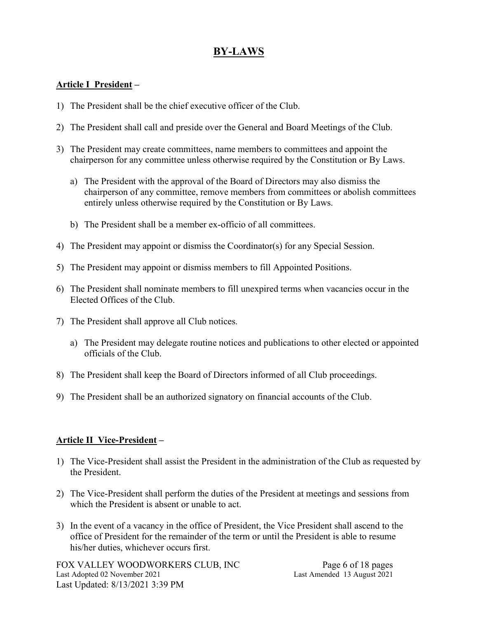# BY-LAWS

#### Article I President –

- 1) The President shall be the chief executive officer of the Club.
- 2) The President shall call and preside over the General and Board Meetings of the Club.
- 3) The President may create committees, name members to committees and appoint the chairperson for any committee unless otherwise required by the Constitution or By Laws.
	- a) The President with the approval of the Board of Directors may also dismiss the chairperson of any committee, remove members from committees or abolish committees entirely unless otherwise required by the Constitution or By Laws.
	- b) The President shall be a member ex-officio of all committees.
- 4) The President may appoint or dismiss the Coordinator(s) for any Special Session.
- 5) The President may appoint or dismiss members to fill Appointed Positions.
- 6) The President shall nominate members to fill unexpired terms when vacancies occur in the Elected Offices of the Club.
- 7) The President shall approve all Club notices.
	- a) The President may delegate routine notices and publications to other elected or appointed officials of the Club.
- 8) The President shall keep the Board of Directors informed of all Club proceedings.
- 9) The President shall be an authorized signatory on financial accounts of the Club.

#### Article II Vice-President –

- 1) The Vice-President shall assist the President in the administration of the Club as requested by the President.
- 2) The Vice-President shall perform the duties of the President at meetings and sessions from which the President is absent or unable to act.
- 3) In the event of a vacancy in the office of President, the Vice President shall ascend to the office of President for the remainder of the term or until the President is able to resume his/her duties, whichever occurs first.

FOX VALLEY WOODWORKERS CLUB, INC Page 6 of 18 pages Last Adopted 02 November 2021 Last Amended 13 August 2021 Last Updated: 8/13/2021 3:39 PM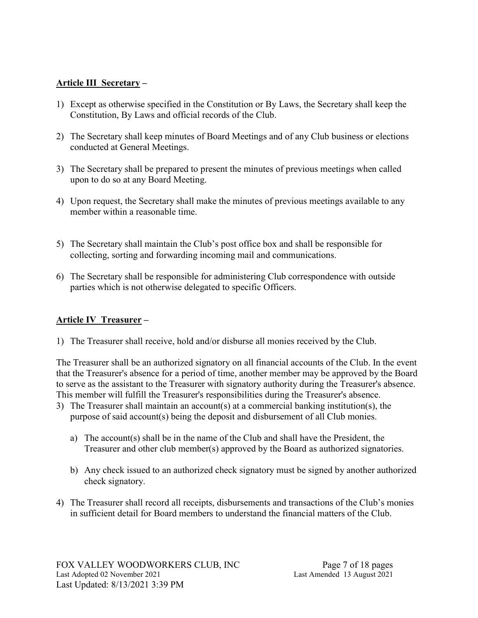#### Article III Secretary –

- 1) Except as otherwise specified in the Constitution or By Laws, the Secretary shall keep the Constitution, By Laws and official records of the Club.
- 2) The Secretary shall keep minutes of Board Meetings and of any Club business or elections conducted at General Meetings.
- 3) The Secretary shall be prepared to present the minutes of previous meetings when called upon to do so at any Board Meeting.
- 4) Upon request, the Secretary shall make the minutes of previous meetings available to any member within a reasonable time.
- 5) The Secretary shall maintain the Club's post office box and shall be responsible for collecting, sorting and forwarding incoming mail and communications.
- 6) The Secretary shall be responsible for administering Club correspondence with outside parties which is not otherwise delegated to specific Officers.

#### Article IV Treasurer –

1) The Treasurer shall receive, hold and/or disburse all monies received by the Club.

The Treasurer shall be an authorized signatory on all financial accounts of the Club. In the event that the Treasurer's absence for a period of time, another member may be approved by the Board to serve as the assistant to the Treasurer with signatory authority during the Treasurer's absence. This member will fulfill the Treasurer's responsibilities during the Treasurer's absence.

- 3) The Treasurer shall maintain an account(s) at a commercial banking institution(s), the purpose of said account(s) being the deposit and disbursement of all Club monies.
	- a) The account(s) shall be in the name of the Club and shall have the President, the Treasurer and other club member(s) approved by the Board as authorized signatories.
	- b) Any check issued to an authorized check signatory must be signed by another authorized check signatory.
- 4) The Treasurer shall record all receipts, disbursements and transactions of the Club's monies in sufficient detail for Board members to understand the financial matters of the Club.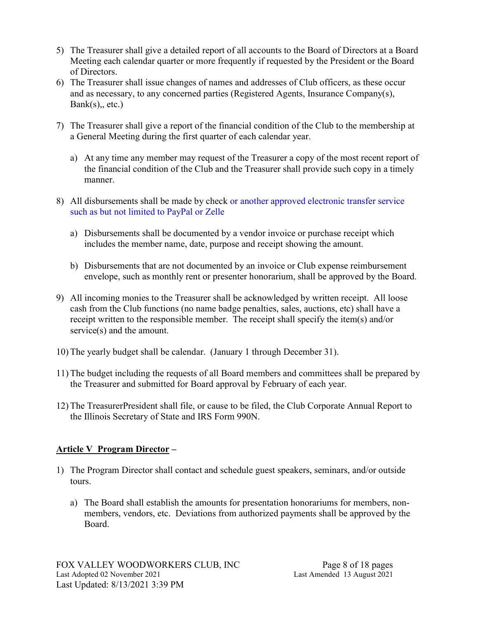- 5) The Treasurer shall give a detailed report of all accounts to the Board of Directors at a Board Meeting each calendar quarter or more frequently if requested by the President or the Board of Directors.
- 6) The Treasurer shall issue changes of names and addresses of Club officers, as these occur and as necessary, to any concerned parties (Registered Agents, Insurance Company(s),  $Bank(s)$ ,, etc.)
- 7) The Treasurer shall give a report of the financial condition of the Club to the membership at a General Meeting during the first quarter of each calendar year.
	- a) At any time any member may request of the Treasurer a copy of the most recent report of the financial condition of the Club and the Treasurer shall provide such copy in a timely manner.
- 8) All disbursements shall be made by check or another approved electronic transfer service such as but not limited to PayPal or Zelle
	- a) Disbursements shall be documented by a vendor invoice or purchase receipt which includes the member name, date, purpose and receipt showing the amount.
	- b) Disbursements that are not documented by an invoice or Club expense reimbursement envelope, such as monthly rent or presenter honorarium, shall be approved by the Board.
- 9) All incoming monies to the Treasurer shall be acknowledged by written receipt. All loose cash from the Club functions (no name badge penalties, sales, auctions, etc) shall have a receipt written to the responsible member. The receipt shall specify the item(s) and/or service(s) and the amount.
- 10) The yearly budget shall be calendar. (January 1 through December 31).
- 11) The budget including the requests of all Board members and committees shall be prepared by the Treasurer and submitted for Board approval by February of each year.
- 12) The TreasurerPresident shall file, or cause to be filed, the Club Corporate Annual Report to the Illinois Secretary of State and IRS Form 990N.

# Article V Program Director –

- 1) The Program Director shall contact and schedule guest speakers, seminars, and/or outside tours.
	- a) The Board shall establish the amounts for presentation honorariums for members, nonmembers, vendors, etc. Deviations from authorized payments shall be approved by the Board.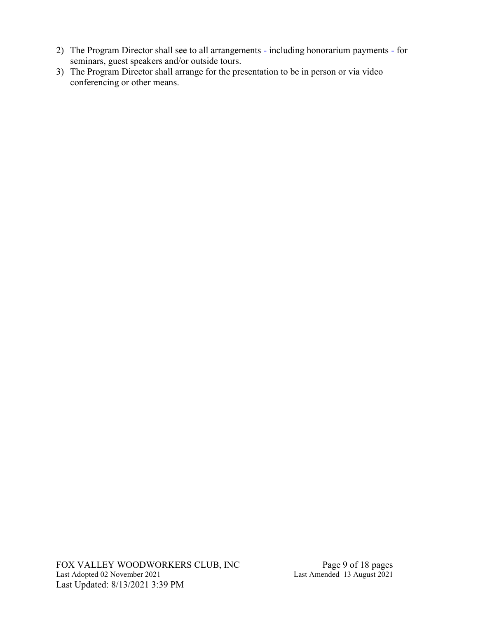- 2) The Program Director shall see to all arrangements including honorarium payments for seminars, guest speakers and/or outside tours.
- 3) The Program Director shall arrange for the presentation to be in person or via video conferencing or other means.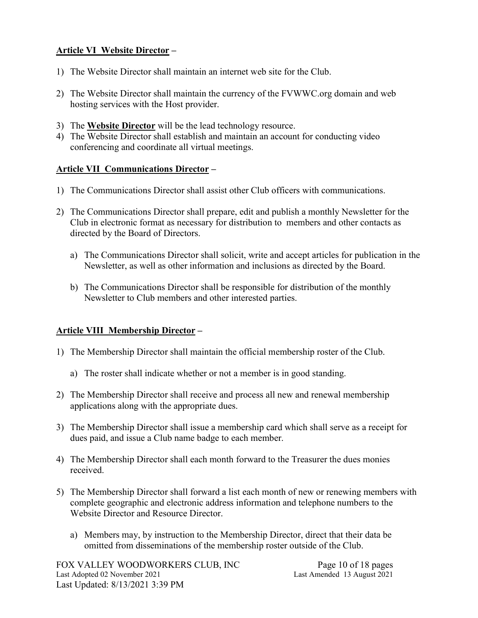#### Article VI Website Director –

- 1) The Website Director shall maintain an internet web site for the Club.
- 2) The Website Director shall maintain the currency of the FVWWC.org domain and web hosting services with the Host provider.
- 3) The Website Director will be the lead technology resource.
- 4) The Website Director shall establish and maintain an account for conducting video conferencing and coordinate all virtual meetings.

#### Article VII Communications Director –

- 1) The Communications Director shall assist other Club officers with communications.
- 2) The Communications Director shall prepare, edit and publish a monthly Newsletter for the Club in electronic format as necessary for distribution to members and other contacts as directed by the Board of Directors.
	- a) The Communications Director shall solicit, write and accept articles for publication in the Newsletter, as well as other information and inclusions as directed by the Board.
	- b) The Communications Director shall be responsible for distribution of the monthly Newsletter to Club members and other interested parties.

# Article VIII Membership Director –

- 1) The Membership Director shall maintain the official membership roster of the Club.
	- a) The roster shall indicate whether or not a member is in good standing.
- 2) The Membership Director shall receive and process all new and renewal membership applications along with the appropriate dues.
- 3) The Membership Director shall issue a membership card which shall serve as a receipt for dues paid, and issue a Club name badge to each member.
- 4) The Membership Director shall each month forward to the Treasurer the dues monies received.
- 5) The Membership Director shall forward a list each month of new or renewing members with complete geographic and electronic address information and telephone numbers to the Website Director and Resource Director.
	- a) Members may, by instruction to the Membership Director, direct that their data be omitted from disseminations of the membership roster outside of the Club.

FOX VALLEY WOODWORKERS CLUB, INC Page 10 of 18 pages Last Adopted 02 November 2021 Last Amended 13 August 2021 Last Updated: 8/13/2021 3:39 PM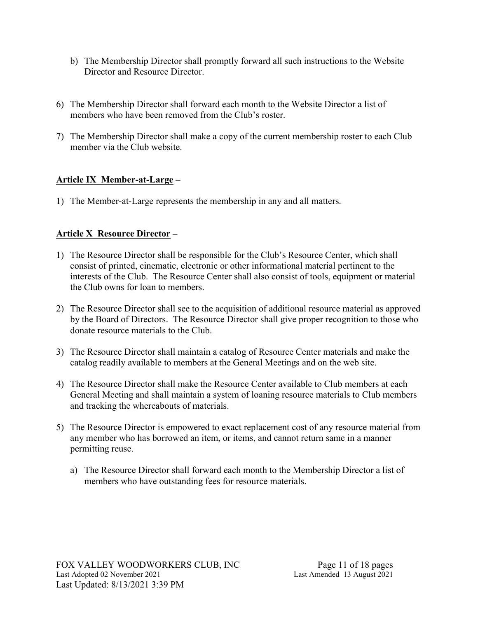- b) The Membership Director shall promptly forward all such instructions to the Website Director and Resource Director.
- 6) The Membership Director shall forward each month to the Website Director a list of members who have been removed from the Club's roster.
- 7) The Membership Director shall make a copy of the current membership roster to each Club member via the Club website.

# Article IX Member-at-Large –

1) The Member-at-Large represents the membership in any and all matters.

# Article X Resource Director –

- 1) The Resource Director shall be responsible for the Club's Resource Center, which shall consist of printed, cinematic, electronic or other informational material pertinent to the interests of the Club. The Resource Center shall also consist of tools, equipment or material the Club owns for loan to members.
- 2) The Resource Director shall see to the acquisition of additional resource material as approved by the Board of Directors. The Resource Director shall give proper recognition to those who donate resource materials to the Club.
- 3) The Resource Director shall maintain a catalog of Resource Center materials and make the catalog readily available to members at the General Meetings and on the web site.
- 4) The Resource Director shall make the Resource Center available to Club members at each General Meeting and shall maintain a system of loaning resource materials to Club members and tracking the whereabouts of materials.
- 5) The Resource Director is empowered to exact replacement cost of any resource material from any member who has borrowed an item, or items, and cannot return same in a manner permitting reuse.
	- a) The Resource Director shall forward each month to the Membership Director a list of members who have outstanding fees for resource materials.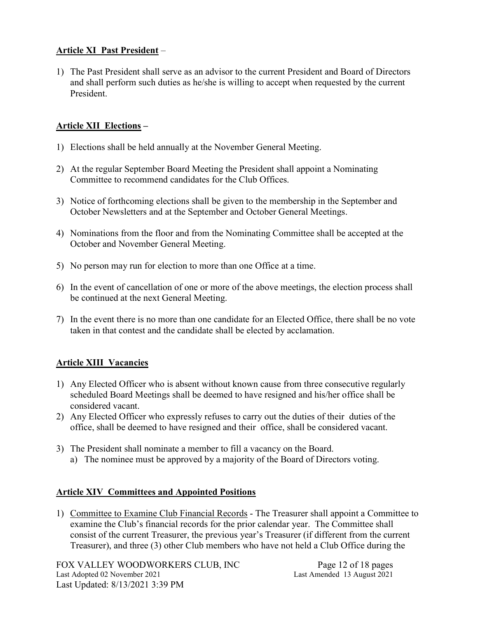#### Article XI Past President –

1) The Past President shall serve as an advisor to the current President and Board of Directors and shall perform such duties as he/she is willing to accept when requested by the current President.

# Article XII Elections –

- 1) Elections shall be held annually at the November General Meeting.
- 2) At the regular September Board Meeting the President shall appoint a Nominating Committee to recommend candidates for the Club Offices.
- 3) Notice of forthcoming elections shall be given to the membership in the September and October Newsletters and at the September and October General Meetings.
- 4) Nominations from the floor and from the Nominating Committee shall be accepted at the October and November General Meeting.
- 5) No person may run for election to more than one Office at a time.
- 6) In the event of cancellation of one or more of the above meetings, the election process shall be continued at the next General Meeting.
- 7) In the event there is no more than one candidate for an Elected Office, there shall be no vote taken in that contest and the candidate shall be elected by acclamation.

# Article XIII Vacancies

- 1) Any Elected Officer who is absent without known cause from three consecutive regularly scheduled Board Meetings shall be deemed to have resigned and his/her office shall be considered vacant.
- 2) Any Elected Officer who expressly refuses to carry out the duties of their duties of the office, shall be deemed to have resigned and their office, shall be considered vacant.
- 3) The President shall nominate a member to fill a vacancy on the Board. a) The nominee must be approved by a majority of the Board of Directors voting.

# Article XIV Committees and Appointed Positions

1) Committee to Examine Club Financial Records - The Treasurer shall appoint a Committee to examine the Club's financial records for the prior calendar year. The Committee shall consist of the current Treasurer, the previous year's Treasurer (if different from the current Treasurer), and three (3) other Club members who have not held a Club Office during the

FOX VALLEY WOODWORKERS CLUB, INC Page 12 of 18 pages Last Adopted 02 November 2021 Last Amended 13 August 2021 Last Updated: 8/13/2021 3:39 PM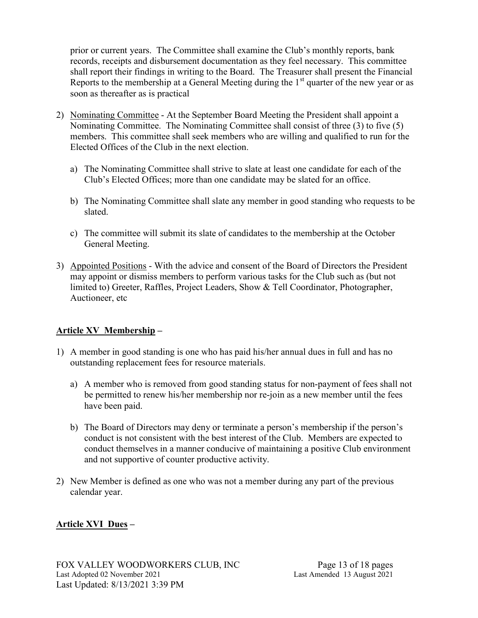prior or current years. The Committee shall examine the Club's monthly reports, bank records, receipts and disbursement documentation as they feel necessary. This committee shall report their findings in writing to the Board. The Treasurer shall present the Financial Reports to the membership at a General Meeting during the  $1<sup>st</sup>$  quarter of the new year or as soon as thereafter as is practical

- 2) Nominating Committee At the September Board Meeting the President shall appoint a Nominating Committee. The Nominating Committee shall consist of three (3) to five (5) members. This committee shall seek members who are willing and qualified to run for the Elected Offices of the Club in the next election.
	- a) The Nominating Committee shall strive to slate at least one candidate for each of the Club's Elected Offices; more than one candidate may be slated for an office.
	- b) The Nominating Committee shall slate any member in good standing who requests to be slated.
	- c) The committee will submit its slate of candidates to the membership at the October General Meeting.
- 3) Appointed Positions With the advice and consent of the Board of Directors the President may appoint or dismiss members to perform various tasks for the Club such as (but not limited to) Greeter, Raffles, Project Leaders, Show & Tell Coordinator, Photographer, Auctioneer, etc

#### Article XV Membership –

- 1) A member in good standing is one who has paid his/her annual dues in full and has no outstanding replacement fees for resource materials.
	- a) A member who is removed from good standing status for non-payment of fees shall not be permitted to renew his/her membership nor re-join as a new member until the fees have been paid.
	- b) The Board of Directors may deny or terminate a person's membership if the person's conduct is not consistent with the best interest of the Club. Members are expected to conduct themselves in a manner conducive of maintaining a positive Club environment and not supportive of counter productive activity.
- 2) New Member is defined as one who was not a member during any part of the previous calendar year.

# Article XVI Dues –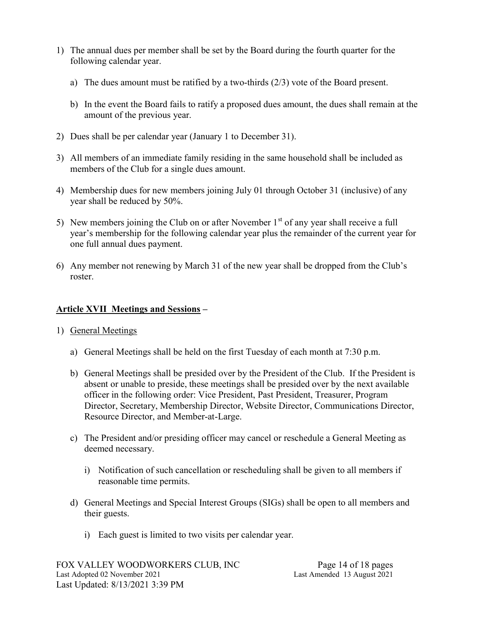- 1) The annual dues per member shall be set by the Board during the fourth quarter for the following calendar year.
	- a) The dues amount must be ratified by a two-thirds (2/3) vote of the Board present.
	- b) In the event the Board fails to ratify a proposed dues amount, the dues shall remain at the amount of the previous year.
- 2) Dues shall be per calendar year (January 1 to December 31).
- 3) All members of an immediate family residing in the same household shall be included as members of the Club for a single dues amount.
- 4) Membership dues for new members joining July 01 through October 31 (inclusive) of any year shall be reduced by 50%.
- 5) New members joining the Club on or after November  $1<sup>st</sup>$  of any year shall receive a full year's membership for the following calendar year plus the remainder of the current year for one full annual dues payment.
- 6) Any member not renewing by March 31 of the new year shall be dropped from the Club's roster.

## Article XVII Meetings and Sessions –

- 1) General Meetings
	- a) General Meetings shall be held on the first Tuesday of each month at 7:30 p.m.
	- b) General Meetings shall be presided over by the President of the Club. If the President is absent or unable to preside, these meetings shall be presided over by the next available officer in the following order: Vice President, Past President, Treasurer, Program Director, Secretary, Membership Director, Website Director, Communications Director, Resource Director, and Member-at-Large.
	- c) The President and/or presiding officer may cancel or reschedule a General Meeting as deemed necessary.
		- i) Notification of such cancellation or rescheduling shall be given to all members if reasonable time permits.
	- d) General Meetings and Special Interest Groups (SIGs) shall be open to all members and their guests.
		- i) Each guest is limited to two visits per calendar year.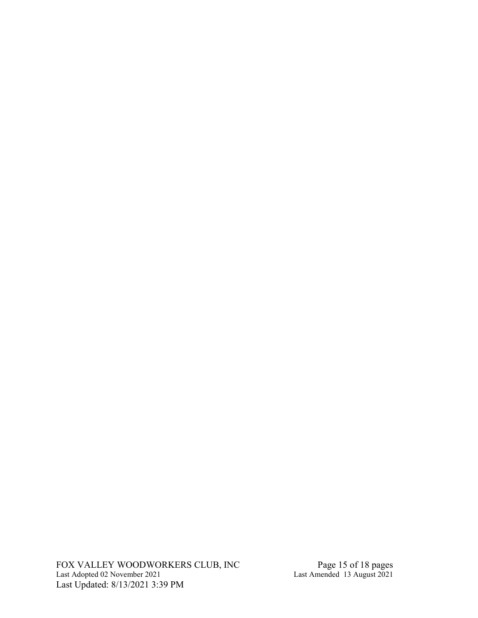FOX VALLEY WOODWORKERS CLUB, INC Page 15 of 18 pages<br>Last Adopted 02 November 2021 Last Amended 13 August 2021 Last Adopted 02 November 2021 Last Updated: 8/13/2021 3:39 PM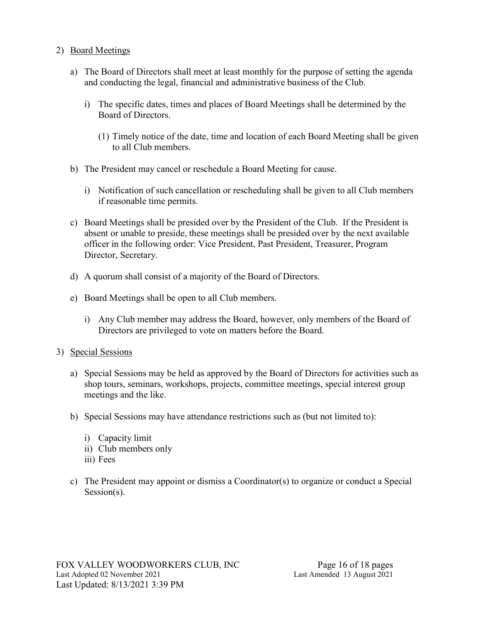#### 2) Board Meetings

- a) The Board of Directors shall meet at least monthly for the purpose of setting the agenda and conducting the legal, financial and administrative business of the Club.
	- i) The specific dates, times and places of Board Meetings shall be determined by the Board of Directors.
		- (1) Timely notice of the date, time and location of each Board Meeting shall be given to all Club members.
- b) The President may cancel or reschedule a Board Meeting for cause.
	- i) Notification of such cancellation or rescheduling shall be given to all Club members if reasonable time permits.
- c) Board Meetings shall be presided over by the President of the Club. If the President is absent or unable to preside, these meetings shall be presided over by the next available officer in the following order: Vice President, Past President, Treasurer, Program Director, Secretary.
- d) A quorum shall consist of a majority of the Board of Directors.
- e) Board Meetings shall be open to all Club members.
	- i) Any Club member may address the Board, however, only members of the Board of Directors are privileged to vote on matters before the Board.
- 3) Special Sessions
	- a) Special Sessions may be held as approved by the Board of Directors for activities such as shop tours, seminars, workshops, projects, committee meetings, special interest group meetings and the like.
	- b) Special Sessions may have attendance restrictions such as (but not limited to):
		- i) Capacity limit
		- ii) Club members only
		- iii) Fees
	- c) The President may appoint or dismiss a Coordinator(s) to organize or conduct a Special Session(s).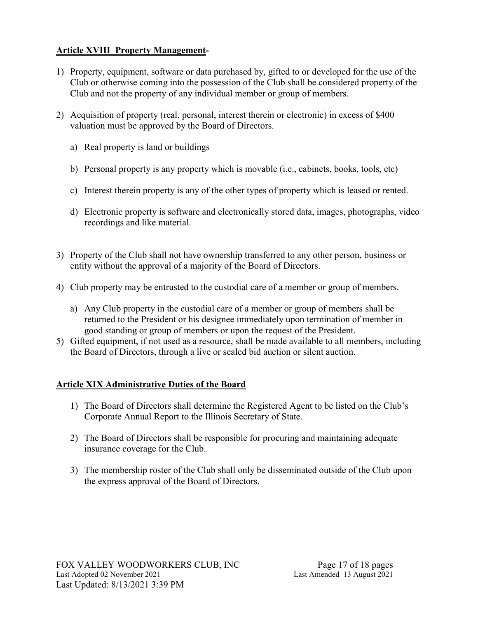# Article XVIII Property Management-

- 1) Property, equipment, software or data purchased by, gifted to or developed for the use of the Club or otherwise coming into the possession of the Club shall be considered property of the Club and not the property of any individual member or group of members.
- 2) Acquisition of property (real, personal, interest therein or electronic) in excess of \$400 valuation must be approved by the Board of Directors.
	- a) Real property is land or buildings
	- b) Personal property is any property which is movable (i.e., cabinets, books, tools, etc)
	- c) Interest therein property is any of the other types of property which is leased or rented.
	- d) Electronic property is software and electronically stored data, images, photographs, video recordings and like material.
- 3) Property of the Club shall not have ownership transferred to any other person, business or entity without the approval of a majority of the Board of Directors.
- 4) Club property may be entrusted to the custodial care of a member or group of members.
	- a) Any Club property in the custodial care of a member or group of members shall be returned to the President or his designee immediately upon termination of member in good standing or group of members or upon the request of the President.
- 5) Gifted equipment, if not used as a resource, shall be made available to all members, including the Board of Directors, through a live or sealed bid auction or silent auction.

# Article XIX Administrative Duties of the Board

- 1) The Board of Directors shall determine the Registered Agent to be listed on the Club's Corporate Annual Report to the Illinois Secretary of State.
- 2) The Board of Directors shall be responsible for procuring and maintaining adequate insurance coverage for the Club.
- 3) The membership roster of the Club shall only be disseminated outside of the Club upon the express approval of the Board of Directors.